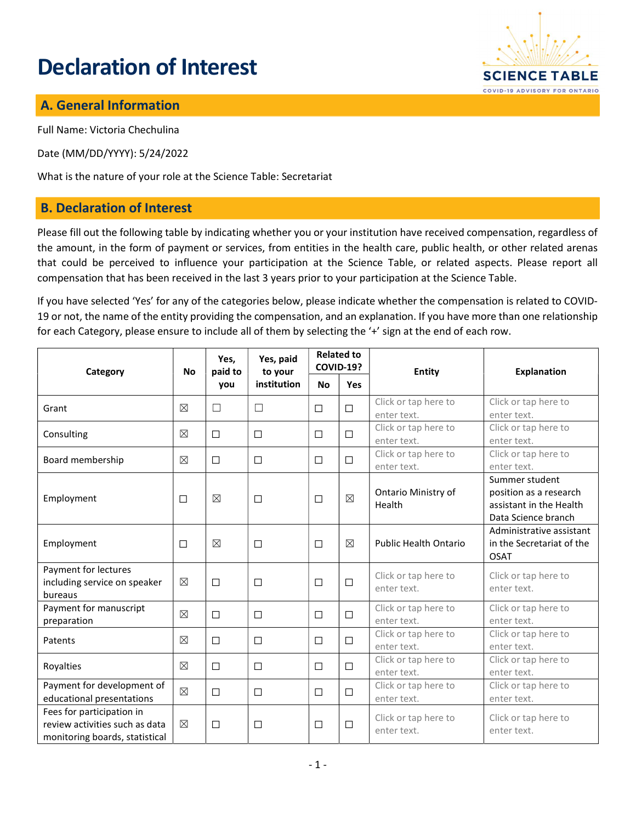# Declaration of Interest



## A. General Information

Full Name: Victoria Chechulina

Date (MM/DD/YYYY): 5/24/2022

What is the nature of your role at the Science Table: Secretariat

#### B. Declaration of Interest

Please fill out the following table by indicating whether you or your institution have received compensation, regardless of the amount, in the form of payment or services, from entities in the health care, public health, or other related arenas that could be perceived to influence your participation at the Science Table, or related aspects. Please report all compensation that has been received in the last 3 years prior to your participation at the Science Table.

If you have selected 'Yes' for any of the categories below, please indicate whether the compensation is related to COVID-19 or not, the name of the entity providing the compensation, and an explanation. If you have more than one relationship for each Category, please ensure to include all of them by selecting the '+' sign at the end of each row.

| Category                                                                                      | <b>No</b>   | Yes,<br>paid to<br>you | Yes, paid<br>to your<br>institution | <b>Related to</b><br><b>COVID-19?</b> |             | Entity                              | <b>Explanation</b>                                                                         |
|-----------------------------------------------------------------------------------------------|-------------|------------------------|-------------------------------------|---------------------------------------|-------------|-------------------------------------|--------------------------------------------------------------------------------------------|
|                                                                                               |             |                        |                                     | <b>No</b>                             | Yes         |                                     |                                                                                            |
| Grant                                                                                         | $\boxtimes$ | □                      | $\Box$                              | $\Box$                                | $\Box$      | Click or tap here to<br>enter text. | Click or tap here to<br>enter text.                                                        |
| Consulting                                                                                    | $\boxtimes$ | $\Box$                 | $\Box$                              | □                                     | $\Box$      | Click or tap here to<br>enter text. | Click or tap here to<br>enter text.                                                        |
| Board membership                                                                              | $\boxtimes$ | $\Box$                 | $\Box$                              | □                                     | $\Box$      | Click or tap here to<br>enter text. | Click or tap here to<br>enter text.                                                        |
| Employment                                                                                    | $\Box$      | $\boxtimes$            | $\Box$                              | $\Box$                                | $\boxtimes$ | Ontario Ministry of<br>Health       | Summer student<br>position as a research<br>assistant in the Health<br>Data Science branch |
| Employment                                                                                    | $\Box$      | $\boxtimes$            | $\Box$                              | $\Box$                                | $\boxtimes$ | <b>Public Health Ontario</b>        | Administrative assistant<br>in the Secretariat of the<br><b>OSAT</b>                       |
| Payment for lectures<br>including service on speaker<br>bureaus                               | $\boxtimes$ | $\Box$                 | $\Box$                              | $\Box$                                | $\Box$      | Click or tap here to<br>enter text. | Click or tap here to<br>enter text.                                                        |
| Payment for manuscript<br>preparation                                                         | $\boxtimes$ | $\Box$                 | $\Box$                              | $\Box$                                | $\Box$      | Click or tap here to<br>enter text. | Click or tap here to<br>enter text.                                                        |
| Patents                                                                                       | $\boxtimes$ | $\Box$                 | □                                   | □                                     | $\Box$      | Click or tap here to<br>enter text. | Click or tap here to<br>enter text.                                                        |
| Royalties                                                                                     | $\boxtimes$ | $\Box$                 | □                                   | □                                     | $\Box$      | Click or tap here to<br>enter text. | Click or tap here to<br>enter text.                                                        |
| Payment for development of<br>educational presentations                                       | $\boxtimes$ | $\Box$                 | $\Box$                              | $\Box$                                | $\Box$      | Click or tap here to<br>enter text. | Click or tap here to<br>enter text.                                                        |
| Fees for participation in<br>review activities such as data<br>monitoring boards, statistical | $\boxtimes$ | □                      | $\Box$                              | □                                     | $\Box$      | Click or tap here to<br>enter text. | Click or tap here to<br>enter text.                                                        |